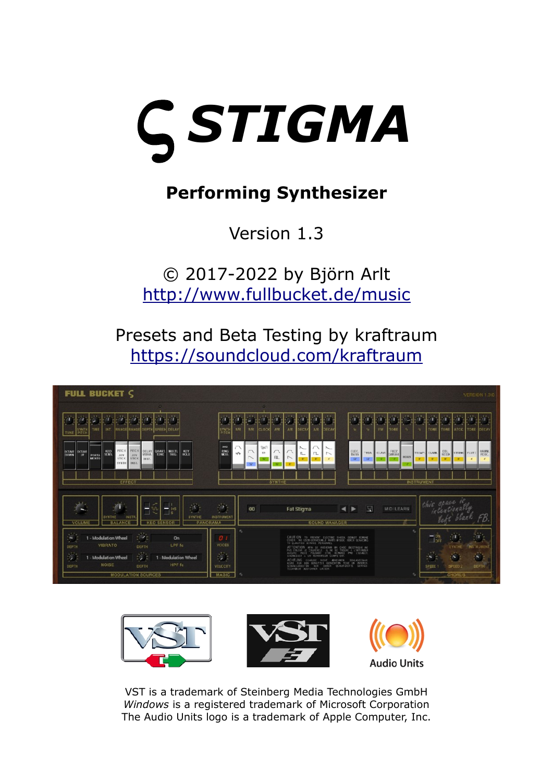

# **Performing Synthesizer**

# Version 1.3

© 2017-2022 by Björn Arlt <http://www.fullbucket.de/music>

Presets and Beta Testing by kraftraum <https://soundcloud.com/kraftraum>





VST is a trademark of Steinberg Media Technologies GmbH *Windows* is a registered trademark of Microsoft Corporation The Audio Units logo is a trademark of Apple Computer, Inc.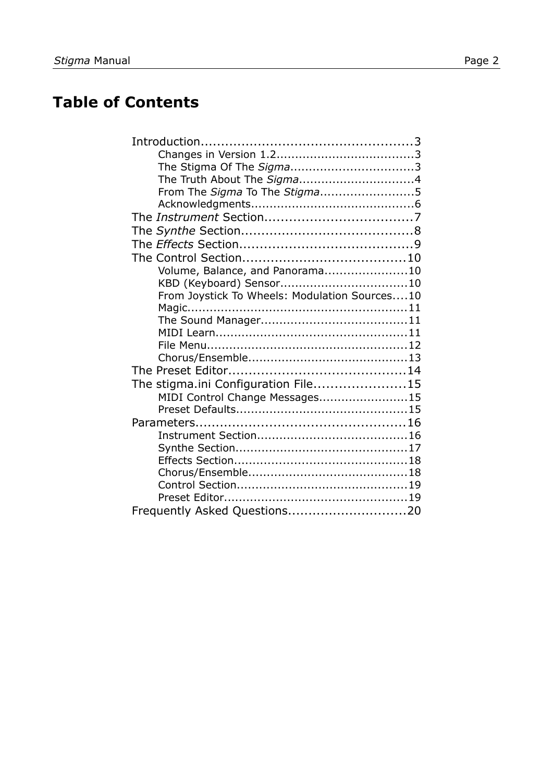## **Table of Contents**

| From The Sigma To The Stigma5                 |  |
|-----------------------------------------------|--|
|                                               |  |
|                                               |  |
|                                               |  |
|                                               |  |
|                                               |  |
| Volume, Balance, and Panorama10               |  |
|                                               |  |
| From Joystick To Wheels: Modulation Sources10 |  |
|                                               |  |
|                                               |  |
|                                               |  |
|                                               |  |
|                                               |  |
|                                               |  |
| The stigma.ini Configuration File15           |  |
| MIDI Control Change Messages15                |  |
|                                               |  |
|                                               |  |
|                                               |  |
|                                               |  |
|                                               |  |
|                                               |  |
|                                               |  |
|                                               |  |
| Frequently Asked Questions20                  |  |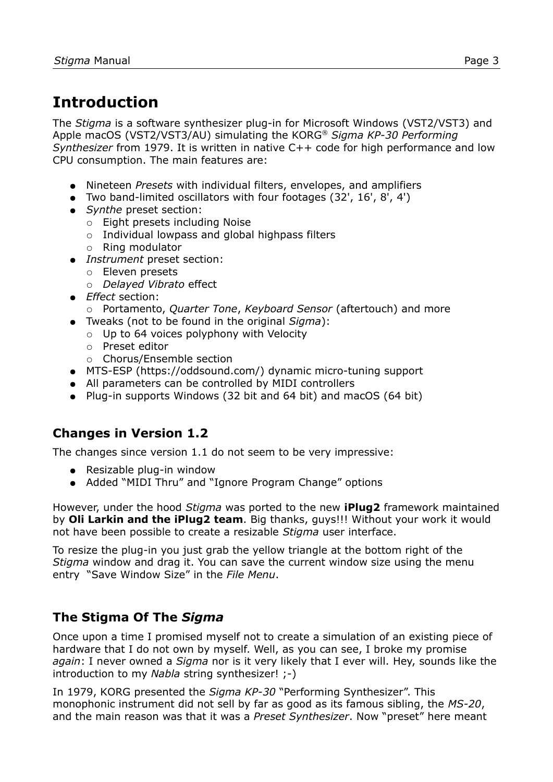## **Introduction**

The *Stigma* is a software synthesizer plug-in for Microsoft Windows (VST2/VST3) and Apple macOS (VST2/VST3/AU) simulating the KORG® *Sigma KP-30 Performing Synthesizer* from 1979. It is written in native C++ code for high performance and low CPU consumption. The main features are:

- Nineteen *Presets* with individual filters, envelopes, and amplifiers
- Two band-limited oscillators with four footages (32', 16', 8', 4')
- *Synthe* preset section:
	- Eight presets including Noise
	- Individual lowpass and global highpass filters
	- Ring modulator
- *Instrument* preset section:
	- Eleven presets
	- *Delayed Vibrato* effect
- *Effect* section:
	- Portamento, *Quarter Tone*, *Keyboard Sensor* (aftertouch) and more
- Tweaks (not to be found in the original *Sigma*):
	- Up to 64 voices polyphony with Velocity
	- Preset editor
	- Chorus/Ensemble section
- MTS-ESP (https://oddsound.com/) dynamic micro-tuning support
- All parameters can be controlled by MIDI controllers
- Plug-in supports Windows (32 bit and 64 bit) and macOS (64 bit)

#### **Changes in Version 1.2**

The changes since version 1.1 do not seem to be very impressive:

- Resizable plug-in window
- Added "MIDI Thru" and "Ignore Program Change" options

However, under the hood *Stigma* was ported to the new **iPlug2** framework maintained by **Oli Larkin and the iPlug2 team**. Big thanks, guys!!! Without your work it would not have been possible to create a resizable *Stigma* user interface.

To resize the plug-in you just grab the yellow triangle at the bottom right of the *Stigma* window and drag it. You can save the current window size using the menu entry "Save Window Size" in the *[File Menu](#page-11-0)*.

#### **The Stigma Of The** *Sigma*

Once upon a time I promised myself not to create a simulation of an existing piece of hardware that I do not own by myself. Well, as you can see, I broke my promise *again*: I never owned a *Sigma* nor is it very likely that I ever will. Hey, sounds like the introduction to my *Nabla* string synthesizer! ;-)

In 1979, KORG presented the *Sigma KP-30* "Performing Synthesizer". This monophonic instrument did not sell by far as good as its famous sibling, the *MS-20*, and the main reason was that it was a *Preset Synthesizer*. Now "preset" here meant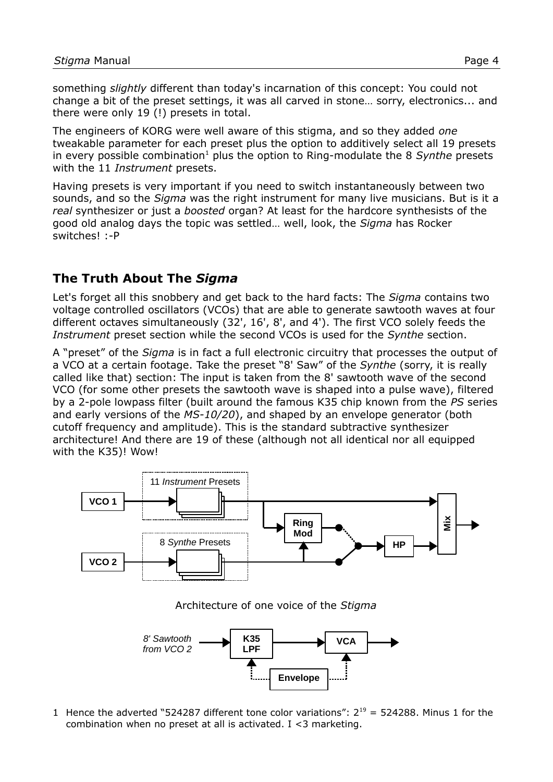something *slightly* different than today's incarnation of this concept: You could not change a bit of the preset settings, it was all carved in stone… sorry, electronics... and there were only 19 (!) presets in total.

The engineers of KORG were well aware of this stigma, and so they added *one* tweakable parameter for each preset plus the option to additively select all 19 presets in every possible combination<sup>[1](#page-3-0)</sup> plus the option to Ring-modulate the 8 Synthe presets with the 11 *Instrument* presets.

Having presets is very important if you need to switch instantaneously between two sounds, and so the *Sigma* was the right instrument for many live musicians. But is it a *real* synthesizer or just a *boosted* organ? At least for the hardcore synthesists of the good old analog days the topic was settled… well, look, the *Sigma* has Rocker switches! :-P

#### **The Truth About The** *Sigma*

Let's forget all this snobbery and get back to the hard facts: The *Sigma* contains two voltage controlled oscillators (VCOs) that are able to generate sawtooth waves at four different octaves simultaneously (32', 16', 8', and 4'). The first VCO solely feeds the *Instrument* preset section while the second VCOs is used for the *Synthe* section.

A "preset" of the *Sigma* is in fact a full electronic circuitry that processes the output of a VCO at a certain footage. Take the preset "8' Saw" of the *Synthe* (sorry, it is really called like that) section: The input is taken from the 8' sawtooth wave of the second VCO (for some other presets the sawtooth wave is shaped into a pulse wave), filtered by a 2-pole lowpass filter (built around the famous K35 chip known from the *PS* series and early versions of the *MS-10/20*), and shaped by an envelope generator (both cutoff frequency and amplitude). This is the standard subtractive synthesizer architecture! And there are 19 of these (although not all identical nor all equipped with the K35)! Wow!



Architecture of one voice of the *Stigma*



<span id="page-3-0"></span>1 Hence the adverted "524287 different tone color variations":  $2^{19} = 524288$ . Minus 1 for the combination when no preset at all is activated.  $I < 3$  marketing.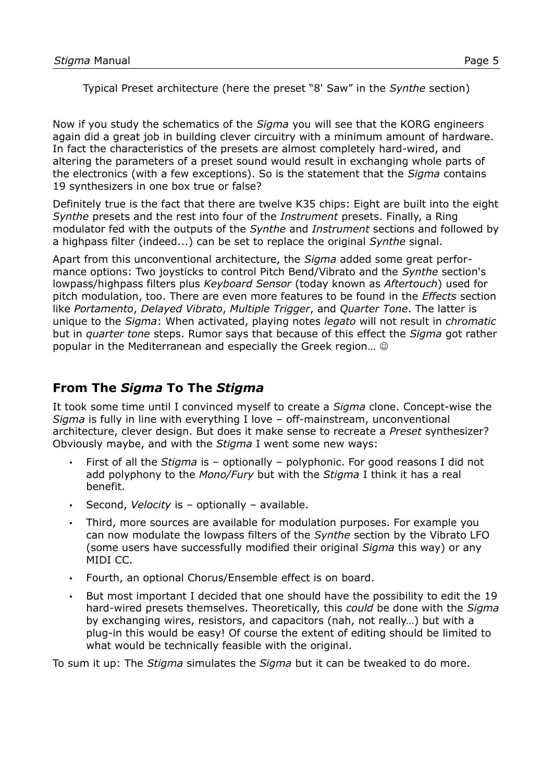Typical Preset architecture (here the preset "8' Saw" in the *Synthe* section)

Now if you study the schematics of the *Sigma* you will see that the KORG engineers again did a great job in building clever circuitry with a minimum amount of hardware. In fact the characteristics of the presets are almost completely hard-wired, and altering the parameters of a preset sound would result in exchanging whole parts of the electronics (with a few exceptions). So is the statement that the *Sigma* contains 19 synthesizers in one box true or false?

Definitely true is the fact that there are twelve K35 chips: Eight are built into the eight *Synthe* presets and the rest into four of the *Instrument* presets. Finally, a Ring modulator fed with the outputs of the *Synthe* and *Instrument* sections and followed by a highpass filter (indeed...) can be set to replace the original *Synthe* signal.

Apart from this unconventional architecture, the *Sigma* added some great performance options: Two joysticks to control Pitch Bend/Vibrato and the *Synthe* section's lowpass/highpass filters plus *Keyboard Sensor* (today known as *Aftertouch*) used for pitch modulation, too. There are even more features to be found in the *Effects* section like *Portamento*, *Delayed Vibrato*, *Multiple Trigger*, and *Quarter Tone*. The latter is unique to the *Sigma*: When activated, playing notes *legato* will not result in *chromatic* but in *quarter tone* steps. Rumor says that because of this effect the *Sigma* got rather popular in the Mediterranean and especially the Greek region…

### **From The** *Sigma* **To The** *Stigma*

It took some time until I convinced myself to create a *Sigma* clone. Concept-wise the *Sigma* is fully in line with everything I love – off-mainstream, unconventional architecture, clever design. But does it make sense to recreate a *Preset* synthesizer? Obviously maybe, and with the *Stigma* I went some new ways:

- First of all the *Stigma* is optionally polyphonic. For good reasons I did not add polyphony to the *Mono/Fury* but with the *Stigma* I think it has a real benefit.
- Second, *Velocity* is optionally available.
- Third, more sources are available for modulation purposes. For example you can now modulate the lowpass filters of the *Synthe* section by the Vibrato LFO (some users have successfully modified their original *Sigma* this way) or any MIDI CC.
- Fourth, an optional Chorus/Ensemble effect is on board.
- But most important I decided that one should have the possibility to edit the 19 hard-wired presets themselves. Theoretically, this *could* be done with the *Sigma* by exchanging wires, resistors, and capacitors (nah, not really…) but with a plug-in this would be easy! Of course the extent of editing should be limited to what would be technically feasible with the original.

To sum it up: The *Stigma* simulates the *Sigma* but it can be tweaked to do more.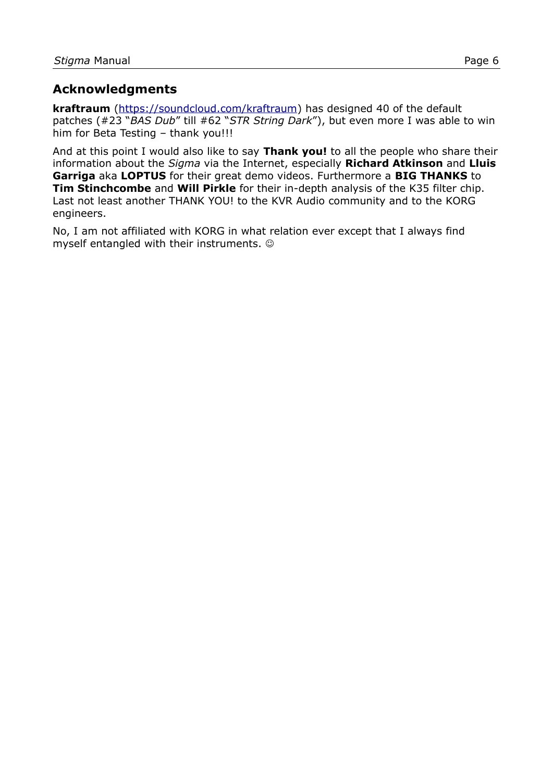#### **Acknowledgments**

**kraftraum** (<https://soundcloud.com/kraftraum>) has designed 40 of the default patches (#23 "*BAS Dub*" till #62 "*STR String Dark*"), but even more I was able to win him for Beta Testing - thank you!!!

And at this point I would also like to say **Thank you!** to all the people who share their information about the *Sigma* via the Internet, especially **Richard Atkinson** and **Lluis Garriga** aka **LOPTUS** for their great demo videos. Furthermore a **BIG THANKS** to **Tim Stinchcombe** and **Will Pirkle** for their in-depth analysis of the K35 filter chip. Last not least another THANK YOU! to the KVR Audio community and to the KORG engineers.

No, I am not affiliated with KORG in what relation ever except that I always find myself entangled with their instruments.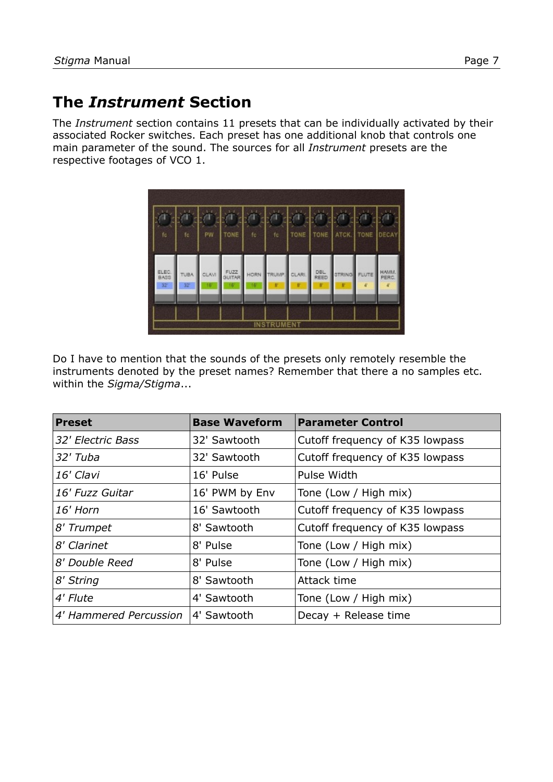## **The** *Instrument* **Section**

The *Instrument* section contains 11 presets that can be individually activated by their associated Rocker switches. Each preset has one additional knob that controls one main parameter of the sound. The sources for all *Instrument* presets are the respective footages of VCO 1.

| fc.                 | fc                | PW          | TONE       | to                | fc                | TONE       | <b>TONE</b> | ATCK. | TONE        | <b>DECAY</b>  |
|---------------------|-------------------|-------------|------------|-------------------|-------------------|------------|-------------|-------|-------------|---------------|
| ELEC.<br>BASS<br>32 | <b>TUBA</b><br>32 | CLAVI<br>16 | FUZZ<br>16 | <b>HORN</b><br>16 | ИP<br>g           | CLARI<br>g | DBL<br>REED |       | <b>LUTE</b> | HAWN<br>PERC. |
|                     |                   |             |            |                   | <b>INSTRUMENT</b> |            |             |       |             |               |

Do I have to mention that the sounds of the presets only remotely resemble the instruments denoted by the preset names? Remember that there a no samples etc. within the *Sigma/Stigma*...

| <b>Preset</b>          | <b>Base Waveform</b> | <b>Parameter Control</b>        |
|------------------------|----------------------|---------------------------------|
| 32' Electric Bass      | 32' Sawtooth         | Cutoff frequency of K35 lowpass |
| 32' Tuba               | 32' Sawtooth         | Cutoff frequency of K35 lowpass |
| 16' Clavi              | 16' Pulse            | Pulse Width                     |
| 16' Fuzz Guitar        | 16' PWM by Env       | Tone (Low / High mix)           |
| 16' Horn               | 16' Sawtooth         | Cutoff frequency of K35 lowpass |
| 8' Trumpet             | 8' Sawtooth          | Cutoff frequency of K35 lowpass |
| 8' Clarinet            | 8' Pulse             | Tone (Low / High mix)           |
| 8' Double Reed         | 8' Pulse             | Tone (Low / High mix)           |
| 8' String              | 8' Sawtooth          | Attack time                     |
| 4' Flute               | 4' Sawtooth          | Tone (Low / High mix)           |
| 4' Hammered Percussion | 4' Sawtooth          | Decay + Release time            |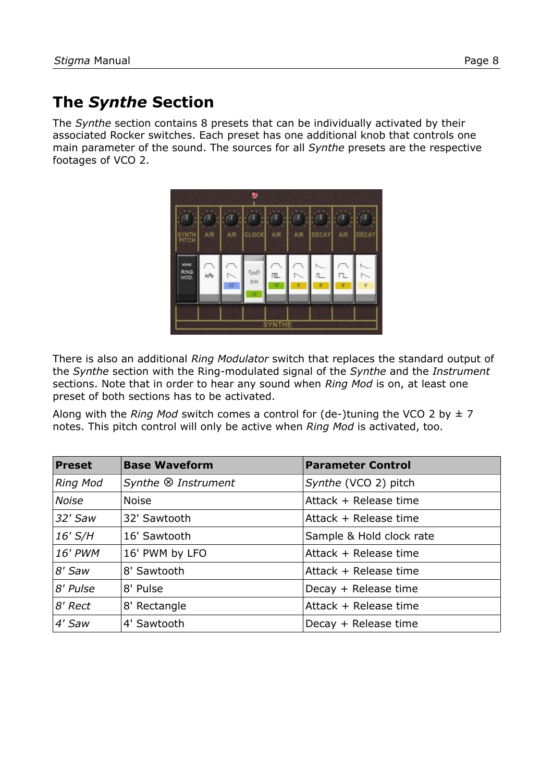## **The** *Synthe* **Section**

The *Synthe* section contains 8 presets that can be individually activated by their associated Rocker switches. Each preset has one additional knob that controls one main parameter of the sound. The sources for all *Synthe* presets are the respective footages of VCO 2.

|                     |                |                | .,                     |                |        |       |                |       |
|---------------------|----------------|----------------|------------------------|----------------|--------|-------|----------------|-------|
|                     |                |                |                        |                |        |       |                |       |
| SYNTH<br>PITCH      | A <sup>R</sup> | A <sub>R</sub> | <b>CLOCK</b>           | A <sub>R</sub> | A/R    | DECAY | A <sub>R</sub> | DECAY |
|                     |                |                |                        |                |        |       |                |       |
| xxx<br>RING<br>MCD. | м              | $\sim$         | $n_{\text{min}}$<br>8H | 皿              | $\sim$ | Π.    | 1              |       |
|                     |                | 32             | 161                    | 16             | g      | g     | B              |       |
|                     |                |                |                        |                |        |       |                |       |
|                     | <b>SYNTHE</b>  |                |                        |                |        |       |                |       |

There is also an additional *Ring Modulator* switch that replaces the standard output of the *Synthe* section with the Ring-modulated signal of the *Synthe* and the *Instrument* sections. Note that in order to hear any sound when *Ring Mod* is on, at least one preset of both sections has to be activated.

Along with the *Ring Mod* switch comes a control for (de-)tuning the VCO 2 by  $\pm$  7 notes. This pitch control will only be active when *Ring Mod* is activated, too.

| <b>Preset</b>   | <b>Base Waveform</b>           | <b>Parameter Control</b> |
|-----------------|--------------------------------|--------------------------|
| <b>Ring Mod</b> | Synthe <sup>®</sup> Instrument | Synthe (VCO 2) pitch     |
| <b>Noise</b>    | <b>Noise</b>                   | Attack + Release time    |
| $32'$ Saw       | 32' Sawtooth                   | Attack + Release time    |
| 16' S/H         | 16' Sawtooth                   | Sample & Hold clock rate |
| 16' PWM         | 16' PWM by LFO                 | Attack + Release time    |
| 8' Saw          | 8' Sawtooth                    | Attack + Release time    |
| 8' Pulse        | 8' Pulse                       | Decay + Release time     |
| 8' Rect         | 8' Rectangle                   | Attack + Release time    |
| 4' Saw          | 4' Sawtooth                    | Decay + Release time     |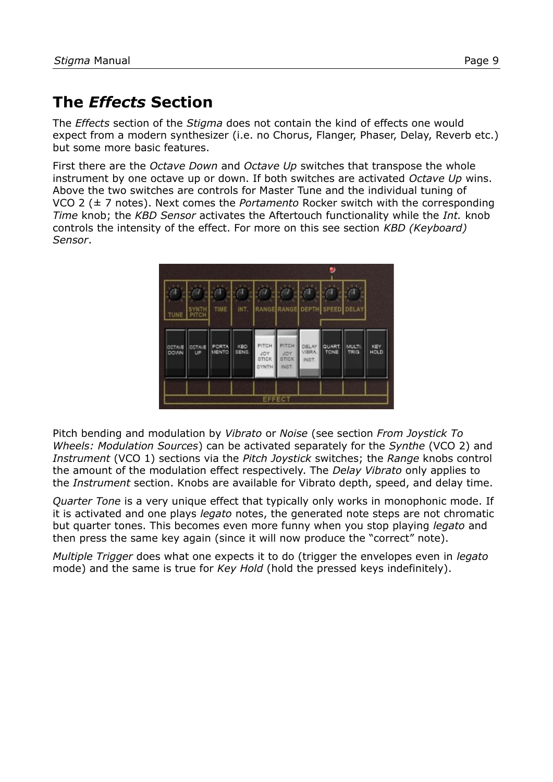## **The** *Effects* **Section**

The *Effects* section of the *Stigma* does not contain the kind of effects one would expect from a modern synthesizer (i.e. no Chorus, Flanger, Phaser, Delay, Reverb etc.) but some more basic features.

First there are the *Octave Down* and *Octave Up* switches that transpose the whole instrument by one octave up or down. If both switches are activated *Octave Up* wins. Above the two switches are controls for Master Tune and the individual tuning of VCO 2 (± 7 notes). Next comes the *Portamento* Rocker switch with the corresponding *Time* knob; the *KBD Sensor* activates the Aftertouch functionality while the *Int.* knob controls the intensity of the effect. For more on this see section *[KBD \(Keyboard\)](#page-9-1)  [Sensor](#page-9-1)*.



Pitch bending and modulation by *Vibrato* or *Noise* (see section *[From Joystick To](#page-9-0)  [Wheels: Modulation Sources](#page-9-0)*) can be activated separately for the *Synthe* (VCO 2) and *Instrument* (VCO 1) sections via the *Pitch Joystick* switches; the *Range* knobs control the amount of the modulation effect respectively. The *Delay Vibrato* only applies to the *Instrument* section. Knobs are available for Vibrato depth, speed, and delay time.

*Quarter Tone* is a very unique effect that typically only works in monophonic mode. If it is activated and one plays *legato* notes, the generated note steps are not chromatic but quarter tones. This becomes even more funny when you stop playing *legato* and then press the same key again (since it will now produce the "correct" note).

*Multiple Trigger* does what one expects it to do (trigger the envelopes even in *legato* mode) and the same is true for *Key Hold* (hold the pressed keys indefinitely).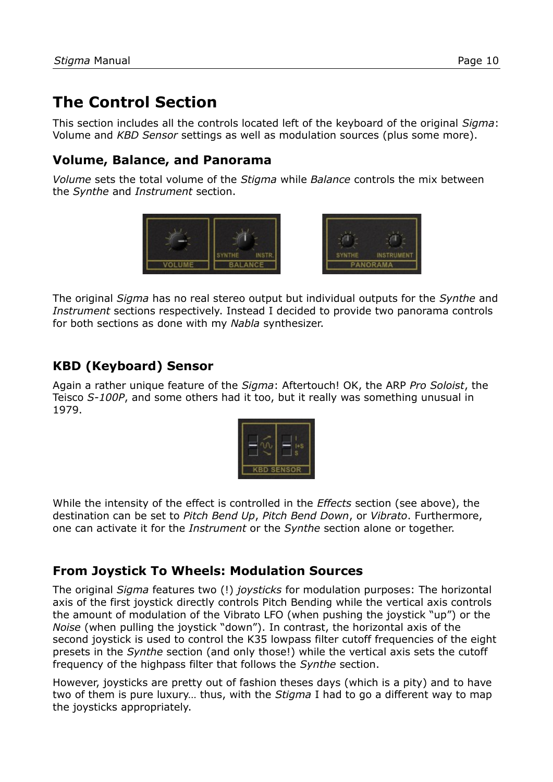## **The Control Section**

This section includes all the controls located left of the keyboard of the original *Sigma*: Volume and *KBD Sensor* settings as well as modulation sources (plus some more).

#### **Volume, Balance, and Panorama**

*Volume* sets the total volume of the *Stigma* while *Balance* controls the mix between the *Synthe* and *Instrument* section.



The original *Sigma* has no real stereo output but individual outputs for the *Synthe* and *Instrument* sections respectively. Instead I decided to provide two panorama controls for both sections as done with my *Nabla* synthesizer.

### <span id="page-9-1"></span>**KBD (Keyboard) Sensor**

Again a rather unique feature of the *Sigma*: Aftertouch! OK, the ARP *Pro Soloist*, the Teisco *S-100P*, and some others had it too, but it really was something unusual in 1979.



While the intensity of the effect is controlled in the *Effects* section (see above), the destination can be set to *Pitch Bend Up*, *Pitch Bend Down*, or *Vibrato*. Furthermore, one can activate it for the *Instrument* or the *Synthe* section alone or together.

### <span id="page-9-0"></span>**From Joystick To Wheels: Modulation Sources**

The original *Sigma* features two (!) *joysticks* for modulation purposes: The horizontal axis of the first joystick directly controls Pitch Bending while the vertical axis controls the amount of modulation of the Vibrato LFO (when pushing the joystick "up") or the *Noise* (when pulling the joystick "down"). In contrast, the horizontal axis of the second joystick is used to control the K35 lowpass filter cutoff frequencies of the eight presets in the *Synthe* section (and only those!) while the vertical axis sets the cutoff frequency of the highpass filter that follows the *Synthe* section.

However, joysticks are pretty out of fashion theses days (which is a pity) and to have two of them is pure luxury… thus, with the *Stigma* I had to go a different way to map the joysticks appropriately.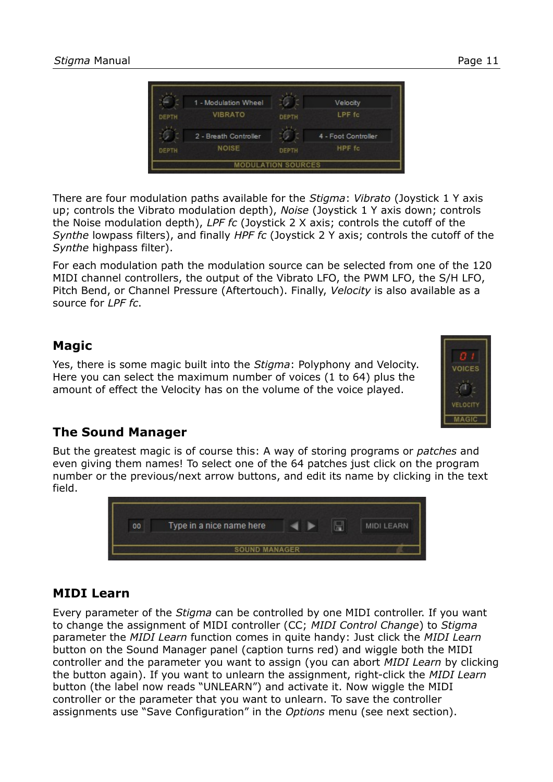

There are four modulation paths available for the *Stigma*: *Vibrato* (Joystick 1 Y axis up; controls the Vibrato modulation depth), *Noise* (Joystick 1 Y axis down; controls the Noise modulation depth), *LPF fc* (Joystick 2 X axis; controls the cutoff of the *Synthe* lowpass filters), and finally *HPF fc* (Joystick 2 Y axis; controls the cutoff of the *Synthe* highpass filter).

For each modulation path the modulation source can be selected from one of the 120 MIDI channel controllers, the output of the Vibrato LFO, the PWM LFO, the S/H LFO, Pitch Bend, or Channel Pressure (Aftertouch). Finally, *Velocity* is also available as a source for *LPF fc*.

#### **Magic**

Yes, there is some magic built into the *Stigma*: Polyphony and Velocity. Here you can select the maximum number of voices (1 to 64) plus the amount of effect the Velocity has on the volume of the voice played.



#### **The Sound Manager**

But the greatest magic is of course this: A way of storing programs or *patches* and even giving them names! To select one of the 64 patches just click on the program number or the previous/next arrow buttons, and edit its name by clicking in the text field.



#### <span id="page-10-0"></span>**MIDI Learn**

Every parameter of the *Stigma* can be controlled by one MIDI controller. If you want to change the assignment of MIDI controller (CC; *MIDI Control Change*) to *Stigma* parameter the *MIDI Learn* function comes in quite handy: Just click the *MIDI Learn* button on the Sound Manager panel (caption turns red) and wiggle both the MIDI controller and the parameter you want to assign (you can abort *MIDI Learn* by clicking the button again). If you want to unlearn the assignment, right-click the *MIDI Learn* button (the label now reads "UNLEARN") and activate it. Now wiggle the MIDI controller or the parameter that you want to unlearn. To save the controller assignments use "Save Configuration" in the *Options* menu (see next section).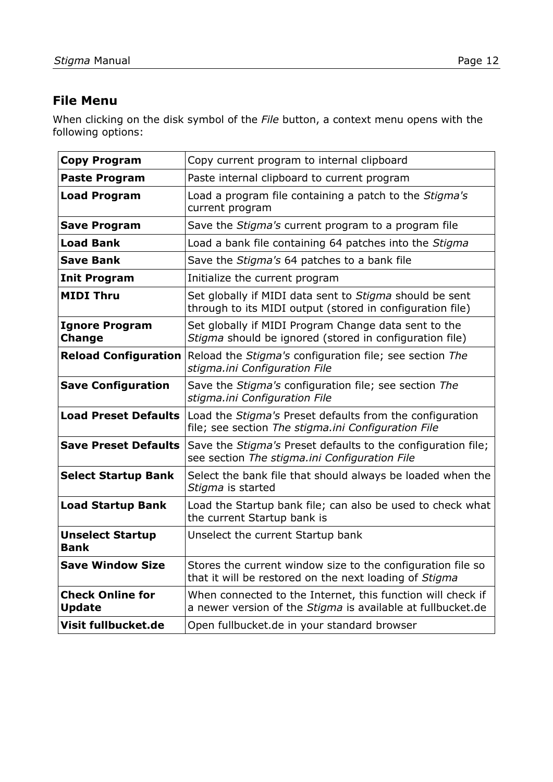#### <span id="page-11-0"></span>**File Menu**

When clicking on the disk symbol of the *File* button, a context menu opens with the following options:

| <b>Copy Program</b>                      | Copy current program to internal clipboard                                                                                 |
|------------------------------------------|----------------------------------------------------------------------------------------------------------------------------|
| <b>Paste Program</b>                     | Paste internal clipboard to current program                                                                                |
| <b>Load Program</b>                      | Load a program file containing a patch to the Stigma's<br>current program                                                  |
| <b>Save Program</b>                      | Save the Stigma's current program to a program file                                                                        |
| <b>Load Bank</b>                         | Load a bank file containing 64 patches into the Stigma                                                                     |
| <b>Save Bank</b>                         | Save the Stigma's 64 patches to a bank file                                                                                |
| <b>Init Program</b>                      | Initialize the current program                                                                                             |
| <b>MIDI Thru</b>                         | Set globally if MIDI data sent to Stigma should be sent<br>through to its MIDI output (stored in configuration file)       |
| <b>Ignore Program</b><br><b>Change</b>   | Set globally if MIDI Program Change data sent to the<br>Stigma should be ignored (stored in configuration file)            |
| <b>Reload Configuration</b>              | Reload the Stigma's configuration file; see section The<br>stigma.ini Configuration File                                   |
| <b>Save Configuration</b>                | Save the Stigma's configuration file; see section The<br>stigma.ini Configuration File                                     |
| <b>Load Preset Defaults</b>              | Load the Stigma's Preset defaults from the configuration<br>file; see section The stigma.ini Configuration File            |
| <b>Save Preset Defaults</b>              | Save the Stigma's Preset defaults to the configuration file;<br>see section The stigma.ini Configuration File              |
| <b>Select Startup Bank</b>               | Select the bank file that should always be loaded when the<br>Stigma is started                                            |
| <b>Load Startup Bank</b>                 | Load the Startup bank file; can also be used to check what<br>the current Startup bank is                                  |
| <b>Unselect Startup</b><br><b>Bank</b>   | Unselect the current Startup bank                                                                                          |
| <b>Save Window Size</b>                  | Stores the current window size to the configuration file so<br>that it will be restored on the next loading of Stigma      |
| <b>Check Online for</b><br><b>Update</b> | When connected to the Internet, this function will check if<br>a newer version of the Stigma is available at fullbucket.de |
| Visit fullbucket.de                      | Open fullbucket.de in your standard browser                                                                                |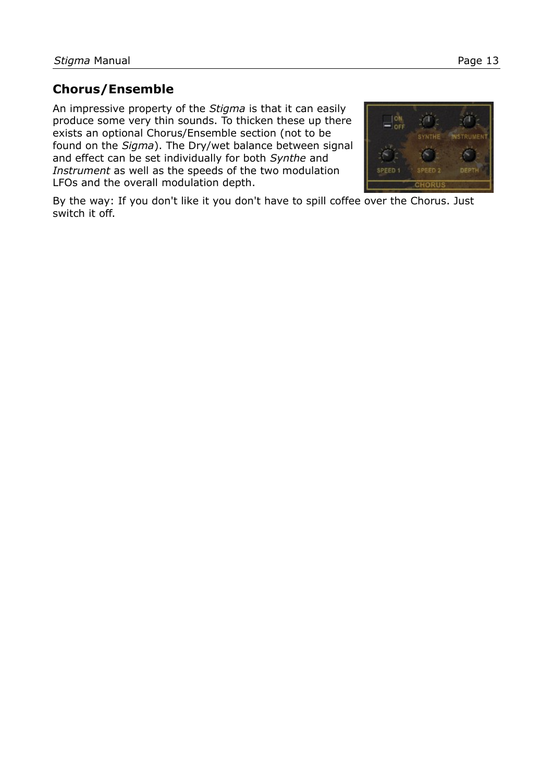#### **Chorus/Ensemble**

An impressive property of the *Stigma* is that it can easily produce some very thin sounds. To thicken these up there exists an optional Chorus/Ensemble section (not to be found on the *Sigma*). The Dry/wet balance between signal and effect can be set individually for both *Synthe* and *Instrument* as well as the speeds of the two modulation LFOs and the overall modulation depth.



By the way: If you don't like it you don't have to spill coffee over the Chorus. Just switch it off.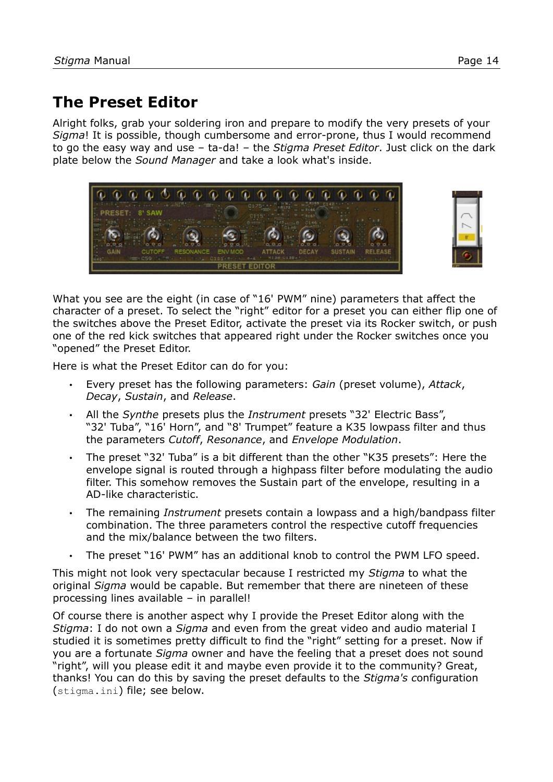## <span id="page-13-0"></span>**The Preset Editor**

Alright folks, grab your soldering iron and prepare to modify the very presets of your *Sigma*! It is possible, though cumbersome and error-prone, thus I would recommend to go the easy way and use ‒ ta-da! ‒ the *Stigma Preset Editor*. Just click on the dark plate below the *Sound Manager* and take a look what's inside.





What you see are the eight (in case of "16' PWM" nine) parameters that affect the character of a preset. To select the "right" editor for a preset you can either flip one of the switches above the Preset Editor, activate the preset via its Rocker switch, or push one of the red kick switches that appeared right under the Rocker switches once you "opened" the Preset Editor.

Here is what the Preset Editor can do for you:

- Every preset has the following parameters: *Gain* (preset volume), *Attack*, *Decay*, *Sustain*, and *Release*.
- All the *Synthe* presets plus the *Instrument* presets "32' Electric Bass", "32' Tuba", "16' Horn", and "8' Trumpet" feature a K35 lowpass filter and thus the parameters *Cutoff*, *Resonance*, and *Envelope Modulation*.
- The preset "32' Tuba" is a bit different than the other "K35 presets": Here the envelope signal is routed through a highpass filter before modulating the audio filter. This somehow removes the Sustain part of the envelope, resulting in a AD-like characteristic.
- The remaining *Instrument* presets contain a lowpass and a high/bandpass filter combination. The three parameters control the respective cutoff frequencies and the mix/balance between the two filters.
- The preset "16' PWM" has an additional knob to control the PWM LFO speed.

This might not look very spectacular because I restricted my *Stigma* to what the original *Sigma* would be capable. But remember that there are nineteen of these processing lines available – in parallel!

Of course there is another aspect why I provide the Preset Editor along with the *Stigma*: I do not own a *Sigma* and even from the great video and audio material I studied it is sometimes pretty difficult to find the "right" setting for a preset. Now if you are a fortunate *Sigma* owner and have the feeling that a preset does not sound "right", will you please edit it and maybe even provide it to the community? Great, thanks! You can do this by saving the preset defaults to the *Stigma's c*onfiguration (stigma.ini) file; see below.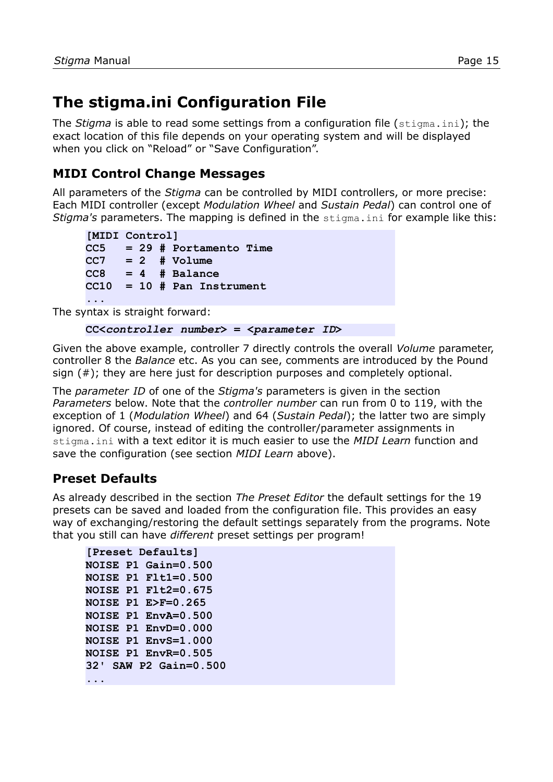## <span id="page-14-0"></span>**The stigma.ini Configuration File**

The *Stigma* is able to read some settings from a configuration file (stigma.ini); the exact location of this file depends on your operating system and will be displayed when you click on "Reload" or "Save Configuration".

### **MIDI Control Change Messages**

All parameters of the *Stigma* can be controlled by MIDI controllers, or more precise: Each MIDI controller (except *Modulation Wheel* and *Sustain Pedal*) can control one of *Stigma's* parameters. The mapping is defined in the stigma.ini for example like this:

```
[MIDI Control]
CC5 = 29 # Portamento Time
CC7 = 2 # Volume
CC8 = 4 # Balance
CC10 = 10 # Pan Instrument
...
```
The syntax is straight forward:

```
CC<controller number> = <parameter ID>
```
Given the above example, controller 7 directly controls the overall *Volume* parameter, controller 8 the *Balance* etc. As you can see, comments are introduced by the Pound sign (#); they are here just for description purposes and completely optional.

The *parameter ID* of one of the *Stigma's* parameters is given in the sectio[n](#page-15-0) *[Parameters](#page-15-0)* below. Note that the *controller number* can run from 0 to 119, with the exception of 1 (*Modulation Wheel*) and 64 (*Sustain Pedal*); the latter two are simply ignored. Of course, instead of editing the controller/parameter assignments in stigma.ini with a text editor it is much easier to use the *MIDI Learn* function and save the configuration (see section *[MIDI Learn](#page-10-0)* above).

### **Preset Defaults**

As already described in the section *[The Preset Editor](#page-13-0)* the default settings for the 19 presets can be saved and loaded from the configuration file. This provides an easy way of exchanging/restoring the default settings separately from the programs. Note that you still can have *different* preset settings per program!

```
[Preset Defaults]
NOISE P1 Gain=0.500
NOISE P1 Flt1=0.500
NOISE P1 Flt2=0.675
NOISE P1 E>F=0.265
NOISE P1 EnvA=0.500
NOISE P1 EnvD=0.000
NOISE P1 EnvS=1.000
NOISE P1 EnvR=0.505
32' SAW P2 Gain=0.500
...
```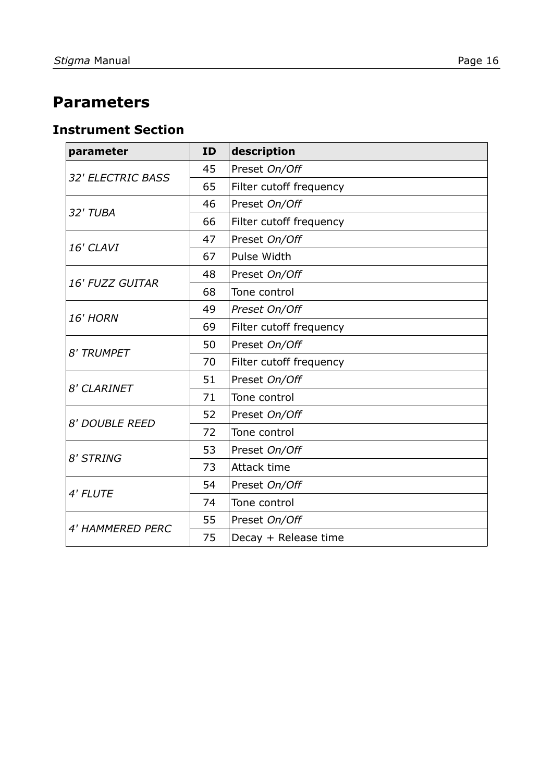## <span id="page-15-0"></span>**Parameters**

#### **Instrument Section**

| parameter                | ID | description             |
|--------------------------|----|-------------------------|
|                          | 45 | Preset On/Off           |
| <b>32' ELECTRIC BASS</b> | 65 | Filter cutoff frequency |
|                          | 46 | Preset On/Off           |
| 32' TUBA                 | 66 | Filter cutoff frequency |
| 16' CLAVI                | 47 | Preset On/Off           |
|                          | 67 | Pulse Width             |
|                          | 48 | Preset On/Off           |
| <b>16' FUZZ GUITAR</b>   | 68 | Tone control            |
|                          | 49 | Preset On/Off           |
| <b>16' HORN</b>          | 69 | Filter cutoff frequency |
|                          | 50 | Preset On/Off           |
| <b>8' TRUMPET</b>        | 70 | Filter cutoff frequency |
|                          | 51 | Preset On/Off           |
| <b>8' CLARINET</b>       | 71 | Tone control            |
| <b>8' DOUBLE REED</b>    | 52 | Preset On/Off           |
|                          | 72 | Tone control            |
| <b>8' STRING</b>         | 53 | Preset On/Off           |
|                          | 73 | Attack time             |
|                          | 54 | Preset On/Off           |
| 4' FLUTE                 | 74 | Tone control            |
|                          | 55 | Preset On/Off           |
| <b>4' HAMMERED PERC</b>  | 75 | Decay + Release time    |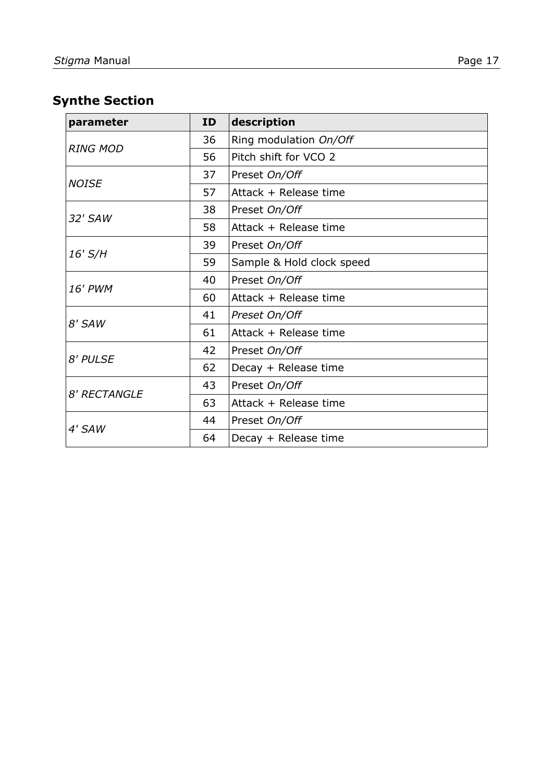## **Synthe Section**

| parameter       | <b>ID</b> | description               |
|-----------------|-----------|---------------------------|
|                 | 36        | Ring modulation On/Off    |
| <b>RING MOD</b> | 56        | Pitch shift for VCO 2     |
|                 | 37        | Preset On/Off             |
| <b>NOISE</b>    | 57        | Attack + Release time     |
| 32' SAW         | 38        | Preset On/Off             |
|                 | 58        | Attack + Release time     |
|                 | 39        | Preset On/Off             |
| 16' S/H         | 59        | Sample & Hold clock speed |
| 16' PWM         | 40        | Preset On/Off             |
|                 | 60        | Attack + Release time     |
|                 | 41        | Preset On/Off             |
| 8' SAW          | 61        | Attack + Release time     |
|                 | 42        | Preset On/Off             |
| 8' PULSE        | 62        | Decay + Release time      |
| 8' RECTANGLE    | 43        | Preset On/Off             |
|                 | 63        | Attack + Release time     |
|                 | 44        | Preset On/Off             |
| 4' SAW          | 64        | Decay + Release time      |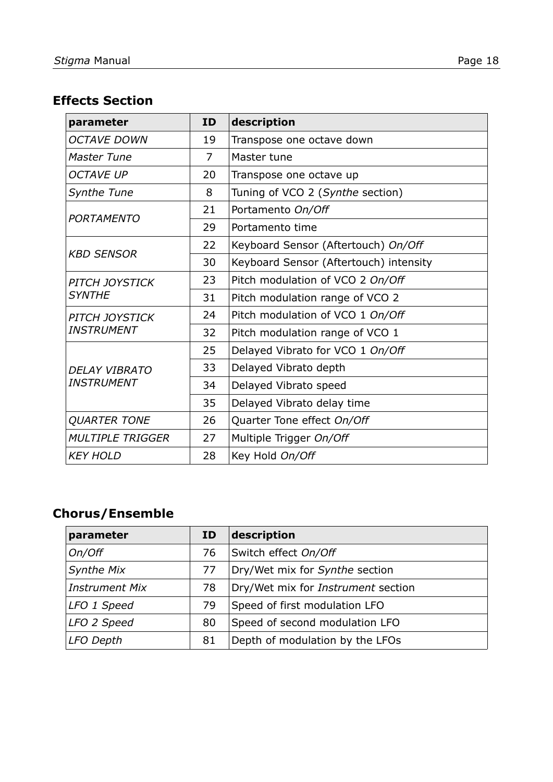## **Effects Section**

| parameter                              | <b>ID</b> | description                            |
|----------------------------------------|-----------|----------------------------------------|
| <b>OCTAVE DOWN</b>                     | 19        | Transpose one octave down              |
| Master Tune                            | 7         | Master tune                            |
| <b>OCTAVE UP</b>                       | 20        | Transpose one octave up                |
| <b>Synthe Tune</b>                     | 8         | Tuning of VCO 2 (Synthe section)       |
| <b>PORTAMENTO</b>                      | 21        | Portamento On/Off                      |
|                                        | 29        | Portamento time                        |
| <b>KBD SENSOR</b>                      | 22        | Keyboard Sensor (Aftertouch) On/Off    |
|                                        | 30        | Keyboard Sensor (Aftertouch) intensity |
| <b>PITCH JOYSTICK</b><br><b>SYNTHE</b> | 23        | Pitch modulation of VCO 2 On/Off       |
|                                        | 31        | Pitch modulation range of VCO 2        |
| <b>PITCH JOYSTICK</b>                  | 24        | Pitch modulation of VCO 1 On/Off       |
| <b>INSTRUMENT</b>                      | 32        | Pitch modulation range of VCO 1        |
|                                        | 25        | Delayed Vibrato for VCO 1 On/Off       |
| <b>DELAY VIBRATO</b>                   | 33        | Delayed Vibrato depth                  |
| <b>INSTRUMENT</b>                      | 34        | Delayed Vibrato speed                  |
|                                        | 35        | Delayed Vibrato delay time             |
| <b>QUARTER TONE</b>                    | 26        | Quarter Tone effect On/Off             |
| <b>MULTIPLE TRIGGER</b>                | 27        | Multiple Trigger On/Off                |
| <b>KEY HOLD</b>                        | 28        | Key Hold On/Off                        |

## **Chorus/Ensemble**

| parameter             | ID | description                               |
|-----------------------|----|-------------------------------------------|
| On/Off                | 76 | Switch effect On/Off                      |
| <b>Synthe Mix</b>     | 77 | Dry/Wet mix for Synthe section            |
| <b>Instrument Mix</b> | 78 | Dry/Wet mix for <i>Instrument</i> section |
| LFO 1 Speed           | 79 | Speed of first modulation LFO             |
| LFO 2 Speed           | 80 | Speed of second modulation LFO            |
| <b>LFO Depth</b>      | 81 | Depth of modulation by the LFOs           |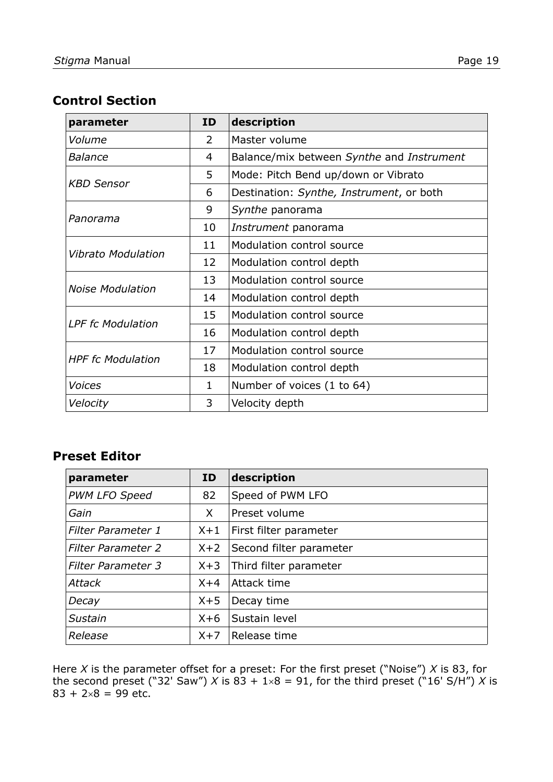#### **Control Section**

| parameter                 | ID | description                               |
|---------------------------|----|-------------------------------------------|
| Volume                    | 2  | Master volume                             |
| <b>Balance</b>            | 4  | Balance/mix between Synthe and Instrument |
|                           | 5  | Mode: Pitch Bend up/down or Vibrato       |
| <i><b>KBD Sensor</b></i>  | 6  | Destination: Synthe, Instrument, or both  |
|                           | 9  | Synthe panorama                           |
| Panorama                  | 10 | Instrument panorama                       |
|                           | 11 | Modulation control source                 |
| <b>Vibrato Modulation</b> | 12 | Modulation control depth                  |
| <b>Noise Modulation</b>   | 13 | Modulation control source                 |
|                           | 14 | Modulation control depth                  |
| <b>LPF fc Modulation</b>  | 15 | Modulation control source                 |
|                           | 16 | Modulation control depth                  |
|                           | 17 | Modulation control source                 |
| <b>HPF</b> fc Modulation  | 18 | Modulation control depth                  |
| <b>Voices</b>             | 1  | Number of voices (1 to 64)                |
| Velocity                  | 3  | Velocity depth                            |

#### **Preset Editor**

| parameter                 | ID    | description             |
|---------------------------|-------|-------------------------|
| <b>PWM LFO Speed</b>      | 82    | Speed of PWM LFO        |
| Gain                      | X     | Preset volume           |
| <b>Filter Parameter 1</b> | $X+1$ | First filter parameter  |
| <b>Filter Parameter 2</b> | $X+2$ | Second filter parameter |
| Filter Parameter 3        | $X+3$ | Third filter parameter  |
| <b>Attack</b>             | $X+4$ | Attack time             |
| Decay                     | $X+5$ | Decay time              |
| Sustain                   | $X+6$ | Sustain level           |
| Release                   | $X+7$ | Release time            |

Here *X* is the parameter offset for a preset: For the first preset ("Noise") *X* is 83, for the second preset ("32' Saw") X is  $83 + 1 \times 8 = 91$ , for the third preset ("16' S/H") X is  $83 + 2 \times 8 = 99$  etc.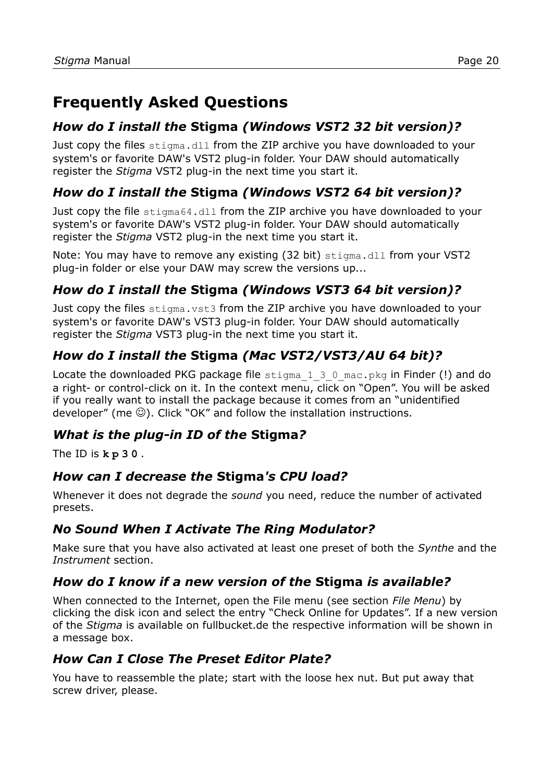## **Frequently Asked Questions**

### *How do I install the* **Stigma** *(Windows VST2 32 bit version)?*

Just copy the files stigma.dll from the ZIP archive you have downloaded to your system's or favorite DAW's VST2 plug-in folder. Your DAW should automatically register the *Stigma* VST2 plug-in the next time you start it.

#### *How do I install the* **Stigma** *(Windows VST2 64 bit version)?*

Just copy the file stigma64.dll from the ZIP archive you have downloaded to your system's or favorite DAW's VST2 plug-in folder. Your DAW should automatically register the *Stigma* VST2 plug-in the next time you start it.

Note: You may have to remove any existing (32 bit) stigma.dll from your VST2 plug-in folder or else your DAW may screw the versions up...

### *How do I install the* **Stigma** *(Windows VST3 64 bit version)?*

Just copy the files stigma. vst3 from the ZIP archive you have downloaded to your system's or favorite DAW's VST3 plug-in folder. Your DAW should automatically register the *Stigma* VST3 plug-in the next time you start it.

### *How do I install the* **Stigma** *(Mac VST2/VST3/AU 64 bit)?*

Locate the downloaded PKG package file stigma 1 3 0 mac.pkg in Finder (!) and do a right- or control-click on it. In the context menu, click on "Open". You will be asked if you really want to install the package because it comes from an "unidentified developer" (me  $\odot$ ). Click "OK" and follow the installation instructions.

### *What is the plug-in ID of the* **Stigma***?*

The ID is **k p 3 0** .

#### *How can I decrease the* **Stigma***'s CPU load?*

Whenever it does not degrade the *sound* you need, reduce the number of activated presets.

### *No Sound When I Activate The Ring Modulator?*

Make sure that you have also activated at least one preset of both the *Synthe* and the *Instrument* section.

### *How do I know if a new version of the* **Stigma** *is available?*

When connected to the Internet, open the File menu (see section *[File Menu](#page-11-0)*) by clicking the disk icon and select the entry "Check Online for Updates". If a new version of the *Stigma* is available on fullbucket.de the respective information will be shown in a message box.

### *How Can I Close The Preset Editor Plate?*

You have to reassemble the plate; start with the loose hex nut. But put away that screw driver, please.